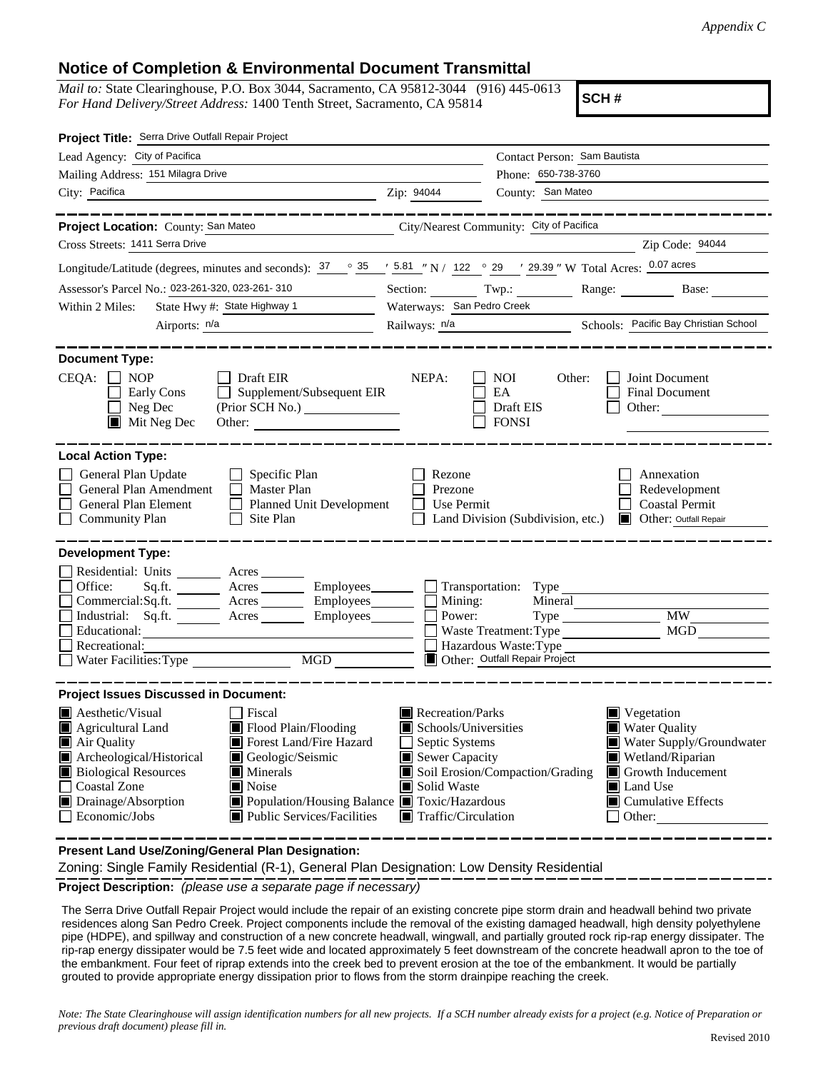## **Notice of Completion & Environmental Document Transmittal**

*Mail to:* State Clearinghouse, P.O. Box 3044, Sacramento, CA 95812-3044 (916) 445-0613 *For Hand Delivery/Street Address:* 1400 Tenth Street, Sacramento, CA 95814

**SCH #**

| Project Title: Serra Drive Outfall Repair Project                                                                                                                                                                                                                                                                                                                                                              |                                                                                                                                   |                                                                                            |                                                                                                                                                                                       |
|----------------------------------------------------------------------------------------------------------------------------------------------------------------------------------------------------------------------------------------------------------------------------------------------------------------------------------------------------------------------------------------------------------------|-----------------------------------------------------------------------------------------------------------------------------------|--------------------------------------------------------------------------------------------|---------------------------------------------------------------------------------------------------------------------------------------------------------------------------------------|
| Lead Agency: City of Pacifica                                                                                                                                                                                                                                                                                                                                                                                  |                                                                                                                                   | Contact Person: Sam Bautista                                                               |                                                                                                                                                                                       |
| Mailing Address: 151 Milagra Drive                                                                                                                                                                                                                                                                                                                                                                             |                                                                                                                                   | Phone: 650-738-3760                                                                        |                                                                                                                                                                                       |
| City: Pacifica<br><u> 1989 - Johann Barn, mars eta bainar eta bat erroman erroman erroman erroman erroman erroman erroman erroman e</u>                                                                                                                                                                                                                                                                        | Zip: 94044                                                                                                                        | County: San Mateo                                                                          |                                                                                                                                                                                       |
| Project Location: County: San Mateo<br>City/Nearest Community: City of Pacifica                                                                                                                                                                                                                                                                                                                                |                                                                                                                                   |                                                                                            | ___________                                                                                                                                                                           |
| Cross Streets: 1411 Serra Drive                                                                                                                                                                                                                                                                                                                                                                                |                                                                                                                                   |                                                                                            | Zip Code: 94044                                                                                                                                                                       |
| Longitude/Latitude (degrees, minutes and seconds): $\frac{37}{100}$ $\frac{35}{100}$ $\frac{1}{200}$ 5.81 " N / 122 $\degree$ 29 ' 29.39 " W Total Acres: 0.07 acres                                                                                                                                                                                                                                           |                                                                                                                                   |                                                                                            |                                                                                                                                                                                       |
| Assessor's Parcel No.: 023-261-320, 023-261-310<br><b>Contract Contract Contract</b>                                                                                                                                                                                                                                                                                                                           |                                                                                                                                   | Section: Twp.: Range: Base:                                                                |                                                                                                                                                                                       |
| State Hwy #: State Highway 1<br>Within 2 Miles:                                                                                                                                                                                                                                                                                                                                                                | Waterways: San Pedro Creek                                                                                                        |                                                                                            |                                                                                                                                                                                       |
|                                                                                                                                                                                                                                                                                                                                                                                                                | Railways: n/a<br>Schools: Pacific Bay Christian School                                                                            |                                                                                            |                                                                                                                                                                                       |
| <b>Document Type:</b><br>$CEQA: \Box NOP$<br>Draft EIR<br>Supplement/Subsequent EIR<br>Early Cons<br>$\Box$ Neg Dec<br>$\blacksquare$ Mit Neg Dec<br>Other:                                                                                                                                                                                                                                                    | NEPA:                                                                                                                             | <b>NOI</b><br>Other:<br>EA<br>Draft EIS<br><b>FONSI</b>                                    | Joint Document<br>Final Document<br>Other:                                                                                                                                            |
| <b>Local Action Type:</b>                                                                                                                                                                                                                                                                                                                                                                                      |                                                                                                                                   |                                                                                            |                                                                                                                                                                                       |
| General Plan Update<br>$\Box$ Specific Plan<br>General Plan Amendment<br>$\Box$ Master Plan<br>General Plan Element<br>Planned Unit Development<br>Site Plan<br>Community Plan                                                                                                                                                                                                                                 | Rezone<br>Prezone<br>Use Permit<br>$\mathsf{L}$                                                                                   | Land Division (Subdivision, etc.)                                                          | Annexation<br>Redevelopment<br><b>Coastal Permit</b><br><b>Delayer:</b> Outfall Repair                                                                                                |
| <b>Development Type:</b><br>Residential: Units _______ Acres ______<br>Office:<br>Acres _________ Employees ________ __ Transportation: Type<br>Sq.ft.<br>Commercial:Sq.ft. <u>Acres</u> Acres Employees [<br>Industrial: Sq.ft. _______ Acres ________ Employees_______<br>Educational:<br>Recreational:<br>Water Facilities: Type<br>MGD NGC 2007                                                            | $\blacksquare$ Mining:<br>Power:                                                                                                  | Mineral<br>Waste Treatment: Type<br>Hazardous Waste: Type<br>Other: Outfall Repair Project | <b>MW</b><br>MGD                                                                                                                                                                      |
| <b>Project Issues Discussed in Document:</b>                                                                                                                                                                                                                                                                                                                                                                   |                                                                                                                                   |                                                                                            |                                                                                                                                                                                       |
| $\blacksquare$ Aesthetic/Visual<br>Fiscal<br>Flood Plain/Flooding<br><b>Agricultural Land</b><br>H<br>Air Quality<br>Forest Land/Fire Hazard<br>Archeological/Historical<br>Geologic/Seismic<br><b>Biological Resources</b><br>$\blacksquare$ Minerals<br><b>Coastal Zone</b><br>Noise<br>Drainage/Absorption<br>■ Population/Housing Balance ■ Toxic/Hazardous<br>Economic/Jobs<br>Public Services/Facilities | Recreation/Parks<br>Schools/Universities<br>Septic Systems<br>Sewer Capacity<br>Solid Waste<br>$\blacksquare$ Traffic/Circulation | Soil Erosion/Compaction/Grading                                                            | $\blacksquare$ Vegetation<br>■ Water Quality<br>Water Supply/Groundwater<br>Wetland/Riparian<br>Growth Inducement<br><b>■</b> Land Use<br>$\blacksquare$ Cumulative Effects<br>Other: |

**Present Land Use/Zoning/General Plan Designation:**

Zoning: Single Family Residential (R-1), General Plan Designation: Low Density Residential

**Project Description:** *(please use a separate page if necessary)*

 The Serra Drive Outfall Repair Project would include the repair of an existing concrete pipe storm drain and headwall behind two private residences along San Pedro Creek. Project components include the removal of the existing damaged headwall, high density polyethylene pipe (HDPE), and spillway and construction of a new concrete headwall, wingwall, and partially grouted rock rip-rap energy dissipater. The rip-rap energy dissipater would be 7.5 feet wide and located approximately 5 feet downstream of the concrete headwall apron to the toe of the embankment. Four feet of riprap extends into the creek bed to prevent erosion at the toe of the embankment. It would be partially grouted to provide appropriate energy dissipation prior to flows from the storm drainpipe reaching the creek.

*Note: The State Clearinghouse will assign identification numbers for all new projects. If a SCH number already exists for a project (e.g. Notice of Preparation or previous draft document) please fill in.*